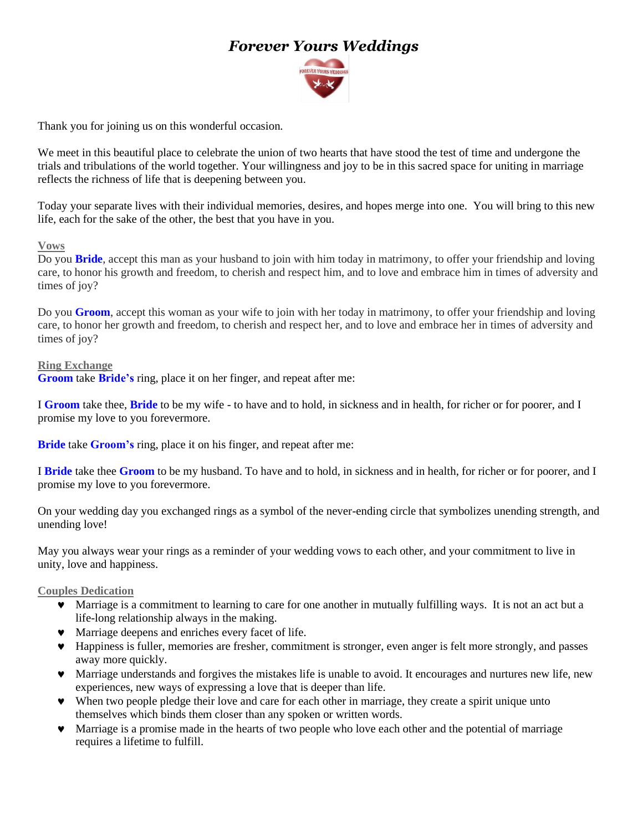# *Forever Yours Weddings*



Thank you for joining us on this wonderful occasion.

We meet in this beautiful place to celebrate the union of two hearts that have stood the test of time and undergone the trials and tribulations of the world together. Your willingness and joy to be in this sacred space for uniting in marriage reflects the richness of life that is deepening between you.

Today your separate lives with their individual memories, desires, and hopes merge into one. You will bring to this new life, each for the sake of the other, the best that you have in you.

#### **Vows**

Do you **Bride**, accept this man as your husband to join with him today in matrimony, to offer your friendship and loving care, to honor his growth and freedom, to cherish and respect him, and to love and embrace him in times of adversity and times of joy?

Do you **Groom**, accept this woman as your wife to join with her today in matrimony, to offer your friendship and loving care, to honor her growth and freedom, to cherish and respect her, and to love and embrace her in times of adversity and times of joy?

#### **Ring Exchange**

**Groom** take **Bride's** ring, place it on her finger, and repeat after me:

I **Groom** take thee, **Bride** to be my wife - to have and to hold, in sickness and in health, for richer or for poorer, and I promise my love to you forevermore.

**Bride** take **Groom's** ring, place it on his finger, and repeat after me:

I **Bride** take thee **Groom** to be my husband. To have and to hold, in sickness and in health, for richer or for poorer, and I promise my love to you forevermore.

On your wedding day you exchanged rings as a symbol of the never-ending circle that symbolizes unending strength, and unending love!

May you always wear your rings as a reminder of your wedding vows to each other, and your commitment to live in unity, love and happiness.

### **Couples Dedication**

- Marriage is a commitment to learning to care for one another in mutually fulfilling ways. It is not an act but a life-long relationship always in the making.
- Marriage deepens and enriches every facet of life.
- Happiness is fuller, memories are fresher, commitment is stronger, even anger is felt more strongly, and passes away more quickly.
- Marriage understands and forgives the mistakes life is unable to avoid. It encourages and nurtures new life, new experiences, new ways of expressing a love that is deeper than life.
- When two people pledge their love and care for each other in marriage, they create a spirit unique unto themselves which binds them closer than any spoken or written words.
- Marriage is a promise made in the hearts of two people who love each other and the potential of marriage requires a lifetime to fulfill.